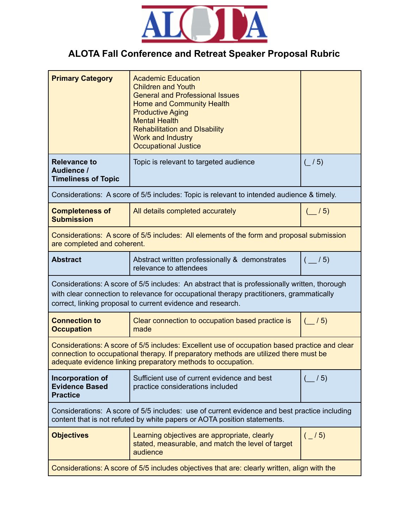

## **ALOTA Fall Conference and Retreat Speaker Proposal Rubric**

| <b>Primary Category</b>                                                                                                                                                                                                                                  | <b>Academic Education</b><br><b>Children and Youth</b><br><b>General and Professional Issues</b><br><b>Home and Community Health</b><br><b>Productive Aging</b><br><b>Mental Health</b><br><b>Rehabilitation and DIsability</b><br>Work and Industry<br><b>Occupational Justice</b> |                    |  |
|----------------------------------------------------------------------------------------------------------------------------------------------------------------------------------------------------------------------------------------------------------|-------------------------------------------------------------------------------------------------------------------------------------------------------------------------------------------------------------------------------------------------------------------------------------|--------------------|--|
| <b>Relevance to</b><br>Audience /<br><b>Timeliness of Topic</b>                                                                                                                                                                                          | Topic is relevant to targeted audience                                                                                                                                                                                                                                              | $($ / 5)           |  |
| Considerations: A score of 5/5 includes: Topic is relevant to intended audience & timely.                                                                                                                                                                |                                                                                                                                                                                                                                                                                     |                    |  |
| <b>Completeness of</b><br><b>Submission</b>                                                                                                                                                                                                              | All details completed accurately                                                                                                                                                                                                                                                    | $\frac{1}{2}$ / 5) |  |
| Considerations: A score of 5/5 includes: All elements of the form and proposal submission<br>are completed and coherent.                                                                                                                                 |                                                                                                                                                                                                                                                                                     |                    |  |
| <b>Abstract</b>                                                                                                                                                                                                                                          | Abstract written professionally & demonstrates<br>relevance to attendees                                                                                                                                                                                                            | $($ /5)            |  |
| Considerations: A score of 5/5 includes: An abstract that is professionally written, thorough<br>with clear connection to relevance for occupational therapy practitioners, grammatically<br>correct, linking proposal to current evidence and research. |                                                                                                                                                                                                                                                                                     |                    |  |
| <b>Connection to</b><br><b>Occupation</b>                                                                                                                                                                                                                | Clear connection to occupation based practice is<br>made                                                                                                                                                                                                                            | $($ / 5)           |  |
| Considerations: A score of 5/5 includes: Excellent use of occupation based practice and clear<br>connection to occupational therapy. If preparatory methods are utilized there must be<br>adequate evidence linking preparatory methods to occupation.   |                                                                                                                                                                                                                                                                                     |                    |  |
| Incorporation of<br><b>Evidence Based</b><br><b>Practice</b>                                                                                                                                                                                             | Sufficient use of current evidence and best<br>practice considerations included                                                                                                                                                                                                     | $\frac{1}{5}$      |  |
| Considerations: A score of 5/5 includes: use of current evidence and best practice including<br>content that is not refuted by white papers or AOTA position statements.                                                                                 |                                                                                                                                                                                                                                                                                     |                    |  |
| <b>Objectives</b>                                                                                                                                                                                                                                        | Learning objectives are appropriate, clearly<br>stated, measurable, and match the level of target<br>audience                                                                                                                                                                       | $\binom{1}{5}$     |  |
| Considerations: A score of 5/5 includes objectives that are: clearly written, align with the                                                                                                                                                             |                                                                                                                                                                                                                                                                                     |                    |  |